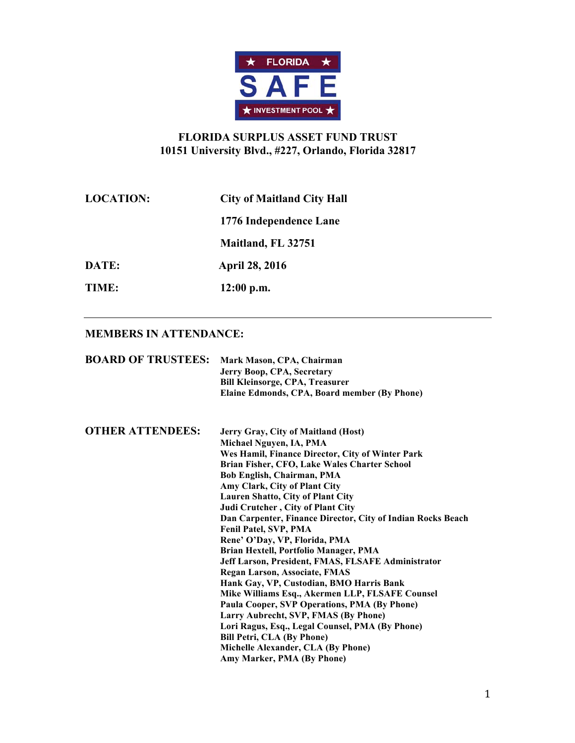

# **FLORIDA SURPLUS ASSET FUND TRUST 10151 University Blvd., #227, Orlando, Florida 32817**

| <b>LOCATION:</b> | <b>City of Maitland City Hall</b> |
|------------------|-----------------------------------|
|                  | 1776 Independence Lane            |
|                  | Maitland, FL 32751                |
| DATE:            | <b>April 28, 2016</b>             |
| TIME:            | $12:00$ p.m.                      |

### **MEMBERS IN ATTENDANCE:**

| <b>BOARD OF TRUSTEES:</b> | Mark Mason, CPA, Chairman<br>Jerry Boop, CPA, Secretary<br><b>Bill Kleinsorge, CPA, Treasurer</b><br>Elaine Edmonds, CPA, Board member (By Phone) |
|---------------------------|---------------------------------------------------------------------------------------------------------------------------------------------------|
| <b>OTHER ATTENDEES:</b>   | Jerry Gray, City of Maitland (Host)<br>Michael Nguyen, IA, PMA                                                                                    |
|                           | Wes Hamil, Finance Director, City of Winter Park                                                                                                  |
|                           | Brian Fisher, CFO, Lake Wales Charter School                                                                                                      |
|                           | Bob English, Chairman, PMA                                                                                                                        |
|                           | Amy Clark, City of Plant City                                                                                                                     |
|                           | Lauren Shatto, City of Plant City                                                                                                                 |
|                           | Judi Crutcher, City of Plant City                                                                                                                 |
|                           | Dan Carpenter, Finance Director, City of Indian Rocks Beach                                                                                       |
|                           | Fenil Patel, SVP, PMA                                                                                                                             |
|                           | Rene' O'Day, VP, Florida, PMA                                                                                                                     |
|                           | Brian Hextell, Portfolio Manager, PMA                                                                                                             |
|                           | Jeff Larson, President, FMAS, FLSAFE Administrator                                                                                                |
|                           | <b>Regan Larson, Associate, FMAS</b>                                                                                                              |
|                           | Hank Gay, VP, Custodian, BMO Harris Bank                                                                                                          |
|                           | Mike Williams Esq., Akermen LLP, FLSAFE Counsel                                                                                                   |
|                           | Paula Cooper, SVP Operations, PMA (By Phone)                                                                                                      |
|                           | Larry Aubrecht, SVP, FMAS (By Phone)                                                                                                              |
|                           | Lori Ragus, Esq., Legal Counsel, PMA (By Phone)                                                                                                   |
|                           | <b>Bill Petri, CLA (By Phone)</b>                                                                                                                 |
|                           | Michelle Alexander, CLA (By Phone)                                                                                                                |
|                           | Amy Marker, PMA (By Phone)                                                                                                                        |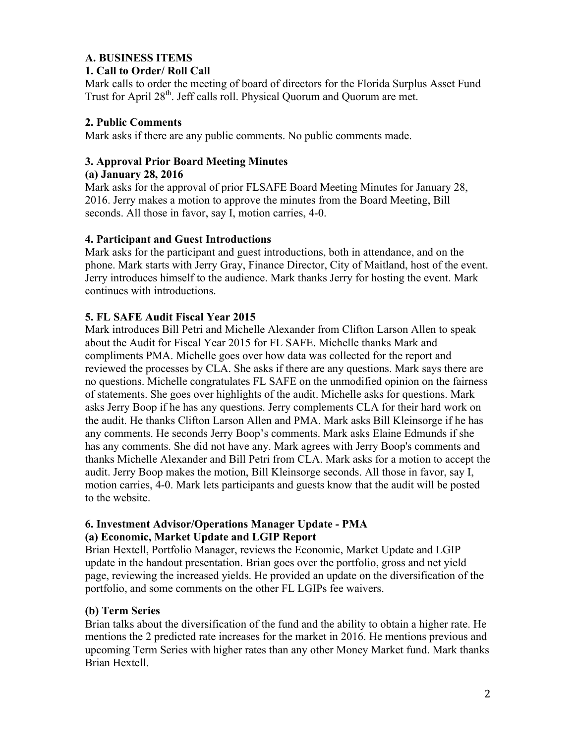## **A. BUSINESS ITEMS**

### **1. Call to Order/ Roll Call**

Mark calls to order the meeting of board of directors for the Florida Surplus Asset Fund Trust for April 28<sup>th</sup>. Jeff calls roll. Physical Quorum and Quorum are met.

### **2. Public Comments**

Mark asks if there are any public comments. No public comments made.

## **3. Approval Prior Board Meeting Minutes**

### **(a) January 28, 2016**

Mark asks for the approval of prior FLSAFE Board Meeting Minutes for January 28, 2016. Jerry makes a motion to approve the minutes from the Board Meeting, Bill seconds. All those in favor, say I, motion carries, 4-0.

### **4. Participant and Guest Introductions**

Mark asks for the participant and guest introductions, both in attendance, and on the phone. Mark starts with Jerry Gray, Finance Director, City of Maitland, host of the event. Jerry introduces himself to the audience. Mark thanks Jerry for hosting the event. Mark continues with introductions.

## **5. FL SAFE Audit Fiscal Year 2015**

Mark introduces Bill Petri and Michelle Alexander from Clifton Larson Allen to speak about the Audit for Fiscal Year 2015 for FL SAFE. Michelle thanks Mark and compliments PMA. Michelle goes over how data was collected for the report and reviewed the processes by CLA. She asks if there are any questions. Mark says there are no questions. Michelle congratulates FL SAFE on the unmodified opinion on the fairness of statements. She goes over highlights of the audit. Michelle asks for questions. Mark asks Jerry Boop if he has any questions. Jerry complements CLA for their hard work on the audit. He thanks Clifton Larson Allen and PMA. Mark asks Bill Kleinsorge if he has any comments. He seconds Jerry Boop's comments. Mark asks Elaine Edmunds if she has any comments. She did not have any. Mark agrees with Jerry Boop's comments and thanks Michelle Alexander and Bill Petri from CLA. Mark asks for a motion to accept the audit. Jerry Boop makes the motion, Bill Kleinsorge seconds. All those in favor, say I, motion carries, 4-0. Mark lets participants and guests know that the audit will be posted to the website.

### **6. Investment Advisor/Operations Manager Update - PMA (a) Economic, Market Update and LGIP Report**

Brian Hextell, Portfolio Manager, reviews the Economic, Market Update and LGIP update in the handout presentation. Brian goes over the portfolio, gross and net yield page, reviewing the increased yields. He provided an update on the diversification of the portfolio, and some comments on the other FL LGIPs fee waivers.

## **(b) Term Series**

Brian talks about the diversification of the fund and the ability to obtain a higher rate. He mentions the 2 predicted rate increases for the market in 2016. He mentions previous and upcoming Term Series with higher rates than any other Money Market fund. Mark thanks Brian Hextell.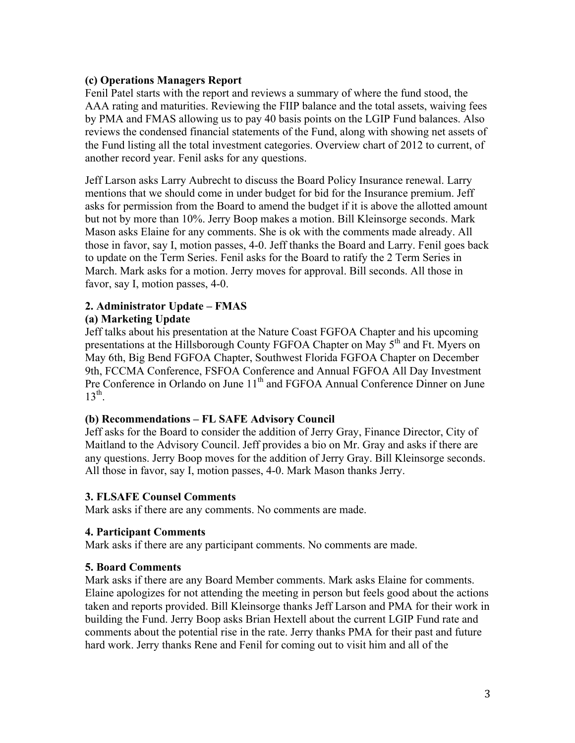### **(c) Operations Managers Report**

Fenil Patel starts with the report and reviews a summary of where the fund stood, the AAA rating and maturities. Reviewing the FIIP balance and the total assets, waiving fees by PMA and FMAS allowing us to pay 40 basis points on the LGIP Fund balances. Also reviews the condensed financial statements of the Fund, along with showing net assets of the Fund listing all the total investment categories. Overview chart of 2012 to current, of another record year. Fenil asks for any questions.

Jeff Larson asks Larry Aubrecht to discuss the Board Policy Insurance renewal. Larry mentions that we should come in under budget for bid for the Insurance premium. Jeff asks for permission from the Board to amend the budget if it is above the allotted amount but not by more than 10%. Jerry Boop makes a motion. Bill Kleinsorge seconds. Mark Mason asks Elaine for any comments. She is ok with the comments made already. All those in favor, say I, motion passes, 4-0. Jeff thanks the Board and Larry. Fenil goes back to update on the Term Series. Fenil asks for the Board to ratify the 2 Term Series in March. Mark asks for a motion. Jerry moves for approval. Bill seconds. All those in favor, say I, motion passes, 4-0.

### **2. Administrator Update – FMAS**

### **(a) Marketing Update**

Jeff talks about his presentation at the Nature Coast FGFOA Chapter and his upcoming presentations at the Hillsborough County FGFOA Chapter on May 5<sup>th</sup> and Ft. Myers on May 6th, Big Bend FGFOA Chapter, Southwest Florida FGFOA Chapter on December 9th, FCCMA Conference, FSFOA Conference and Annual FGFOA All Day Investment Pre Conference in Orlando on June 11<sup>th</sup> and FGFOA Annual Conference Dinner on June  $13^{th}$ .

### **(b) Recommendations – FL SAFE Advisory Council**

Jeff asks for the Board to consider the addition of Jerry Gray, Finance Director, City of Maitland to the Advisory Council. Jeff provides a bio on Mr. Gray and asks if there are any questions. Jerry Boop moves for the addition of Jerry Gray. Bill Kleinsorge seconds. All those in favor, say I, motion passes, 4-0. Mark Mason thanks Jerry.

### **3. FLSAFE Counsel Comments**

Mark asks if there are any comments. No comments are made.

### **4. Participant Comments**

Mark asks if there are any participant comments. No comments are made.

### **5. Board Comments**

Mark asks if there are any Board Member comments. Mark asks Elaine for comments. Elaine apologizes for not attending the meeting in person but feels good about the actions taken and reports provided. Bill Kleinsorge thanks Jeff Larson and PMA for their work in building the Fund. Jerry Boop asks Brian Hextell about the current LGIP Fund rate and comments about the potential rise in the rate. Jerry thanks PMA for their past and future hard work. Jerry thanks Rene and Fenil for coming out to visit him and all of the